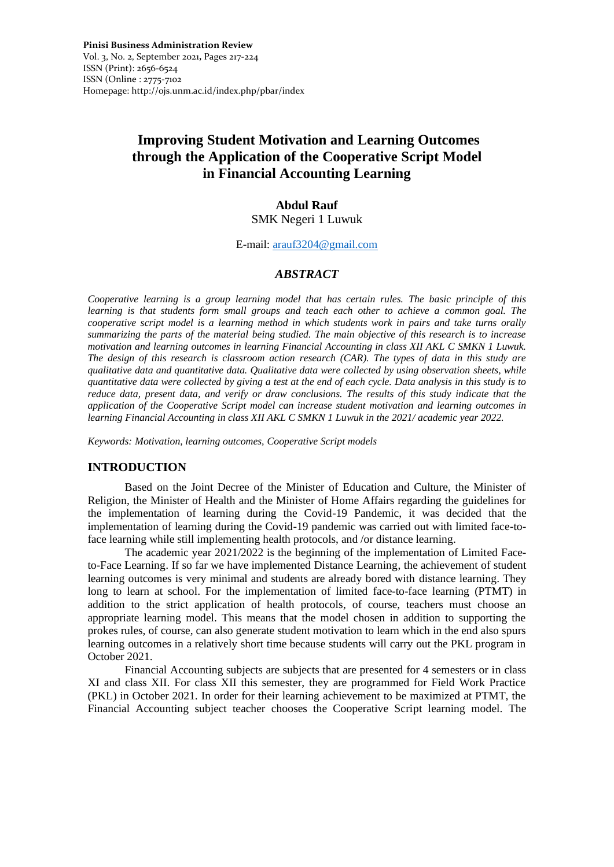**Pinisi Business Administration Review**  Vol. 3, No. 2, September 2021**,** Pages 217-224 ISSN (Print): 2656-6524 ISSN (Online : 2775-7102 Homepage: http://ojs.unm.ac.id/index.php/pbar/index

# **Improving Student Motivation and Learning Outcomes through the Application of the Cooperative Script Model in Financial Accounting Learning**

## **Abdul Rauf**

SMK Negeri 1 Luwuk

E-mail: [arauf3204@gmail.com](mailto:arauf3204@gmail.com)

## *ABSTRACT*

*Cooperative learning is a group learning model that has certain rules. The basic principle of this learning is that students form small groups and teach each other to achieve a common goal. The cooperative script model is a learning method in which students work in pairs and take turns orally summarizing the parts of the material being studied. The main objective of this research is to increase motivation and learning outcomes in learning Financial Accounting in class XII AKL C SMKN 1 Luwuk. The design of this research is classroom action research (CAR). The types of data in this study are qualitative data and quantitative data. Qualitative data were collected by using observation sheets, while quantitative data were collected by giving a test at the end of each cycle. Data analysis in this study is to reduce data, present data, and verify or draw conclusions. The results of this study indicate that the application of the Cooperative Script model can increase student motivation and learning outcomes in learning Financial Accounting in class XII AKL C SMKN 1 Luwuk in the 2021/ academic year 2022.*

*Keywords: Motivation, learning outcomes, Cooperative Script models*

## **INTRODUCTION**

Based on the Joint Decree of the Minister of Education and Culture, the Minister of Religion, the Minister of Health and the Minister of Home Affairs regarding the guidelines for the implementation of learning during the Covid-19 Pandemic, it was decided that the implementation of learning during the Covid-19 pandemic was carried out with limited face-toface learning while still implementing health protocols, and /or distance learning.

The academic year 2021/2022 is the beginning of the implementation of Limited Faceto-Face Learning. If so far we have implemented Distance Learning, the achievement of student learning outcomes is very minimal and students are already bored with distance learning. They long to learn at school. For the implementation of limited face-to-face learning (PTMT) in addition to the strict application of health protocols, of course, teachers must choose an appropriate learning model. This means that the model chosen in addition to supporting the prokes rules, of course, can also generate student motivation to learn which in the end also spurs learning outcomes in a relatively short time because students will carry out the PKL program in October 2021.

Financial Accounting subjects are subjects that are presented for 4 semesters or in class XI and class XII. For class XII this semester, they are programmed for Field Work Practice (PKL) in October 2021. In order for their learning achievement to be maximized at PTMT, the Financial Accounting subject teacher chooses the Cooperative Script learning model. The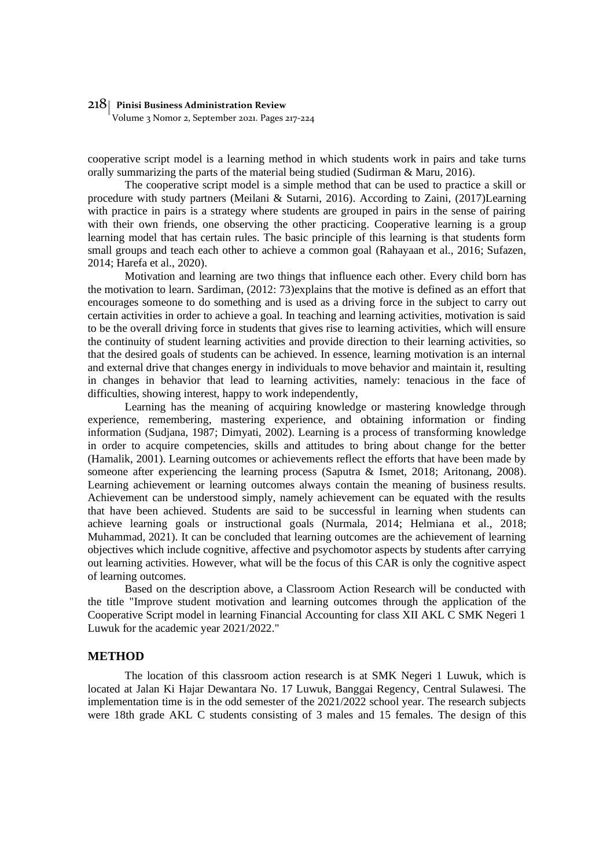Volume 3 Nomor 2, September 2021. Pages 217-224

cooperative script model is a learning method in which students work in pairs and take turns orally summarizing the parts of the material being studied (Sudirman & Maru, 2016).

The cooperative script model is a simple method that can be used to practice a skill or procedure with study partners (Meilani & Sutarni, 2016). According to Zaini, (2017)Learning with practice in pairs is a strategy where students are grouped in pairs in the sense of pairing with their own friends, one observing the other practicing. Cooperative learning is a group learning model that has certain rules. The basic principle of this learning is that students form small groups and teach each other to achieve a common goal (Rahayaan et al., 2016; Sufazen, 2014; Harefa et al., 2020).

Motivation and learning are two things that influence each other. Every child born has the motivation to learn. Sardiman, (2012: 73)explains that the motive is defined as an effort that encourages someone to do something and is used as a driving force in the subject to carry out certain activities in order to achieve a goal. In teaching and learning activities, motivation is said to be the overall driving force in students that gives rise to learning activities, which will ensure the continuity of student learning activities and provide direction to their learning activities, so that the desired goals of students can be achieved. In essence, learning motivation is an internal and external drive that changes energy in individuals to move behavior and maintain it, resulting in changes in behavior that lead to learning activities, namely: tenacious in the face of difficulties, showing interest, happy to work independently,

Learning has the meaning of acquiring knowledge or mastering knowledge through experience, remembering, mastering experience, and obtaining information or finding information (Sudjana, 1987; Dimyati, 2002). Learning is a process of transforming knowledge in order to acquire competencies, skills and attitudes to bring about change for the better (Hamalik, 2001). Learning outcomes or achievements reflect the efforts that have been made by someone after experiencing the learning process (Saputra & Ismet, 2018; Aritonang, 2008). Learning achievement or learning outcomes always contain the meaning of business results. Achievement can be understood simply, namely achievement can be equated with the results that have been achieved. Students are said to be successful in learning when students can achieve learning goals or instructional goals (Nurmala, 2014; Helmiana et al., 2018; Muhammad, 2021). It can be concluded that learning outcomes are the achievement of learning objectives which include cognitive, affective and psychomotor aspects by students after carrying out learning activities. However, what will be the focus of this CAR is only the cognitive aspect of learning outcomes.

Based on the description above, a Classroom Action Research will be conducted with the title "Improve student motivation and learning outcomes through the application of the Cooperative Script model in learning Financial Accounting for class XII AKL C SMK Negeri 1 Luwuk for the academic year 2021/2022."

#### **METHOD**

The location of this classroom action research is at SMK Negeri 1 Luwuk, which is located at Jalan Ki Hajar Dewantara No. 17 Luwuk, Banggai Regency, Central Sulawesi. The implementation time is in the odd semester of the 2021/2022 school year. The research subjects were 18th grade AKL C students consisting of 3 males and 15 females. The design of this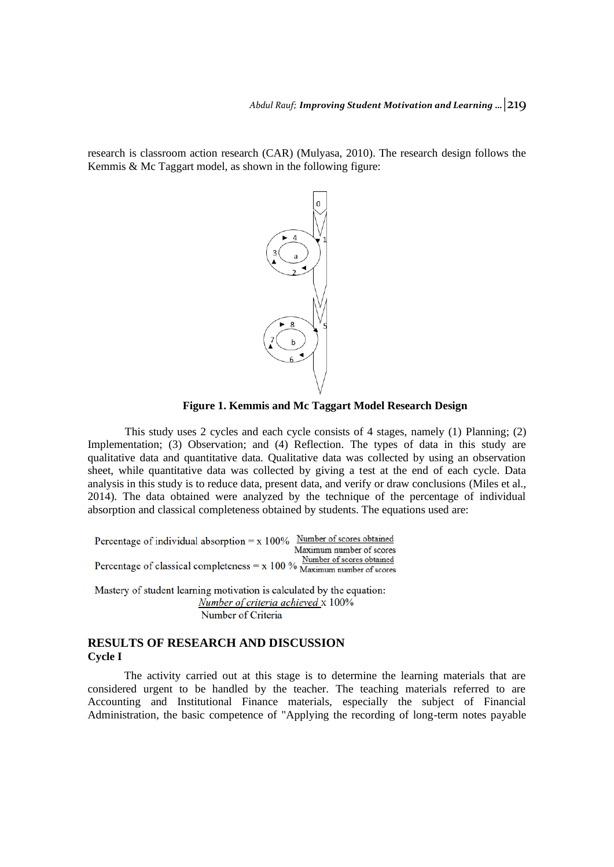research is classroom action research (CAR) (Mulyasa, 2010). The research design follows the Kemmis & Mc Taggart model, as shown in the following figure:



**Figure 1. Kemmis and Mc Taggart Model Research Design**

This study uses 2 cycles and each cycle consists of 4 stages, namely (1) Planning; (2) Implementation; (3) Observation; and (4) Reflection. The types of data in this study are qualitative data and quantitative data. Qualitative data was collected by using an observation sheet, while quantitative data was collected by giving a test at the end of each cycle. Data analysis in this study is to reduce data, present data, and verify or draw conclusions (Miles et al., 2014). The data obtained were analyzed by the technique of the percentage of individual absorption and classical completeness obtained by students. The equations used are:

Percentage of individual absorption =  $x$  100% Number of scores obtained Maximum number of scores Percentage of classical completeness =  $x$  100 %  $\frac{\text{Number of scores obtained}}{\text{Maximum number of scores}}$ 

Mastery of student learning motivation is calculated by the equation: Number of criteria achieved x 100% Number of Criteria

## **RESULTS OF RESEARCH AND DISCUSSION Cycle I**

The activity carried out at this stage is to determine the learning materials that are considered urgent to be handled by the teacher. The teaching materials referred to are Accounting and Institutional Finance materials, especially the subject of Financial Administration, the basic competence of "Applying the recording of long-term notes payable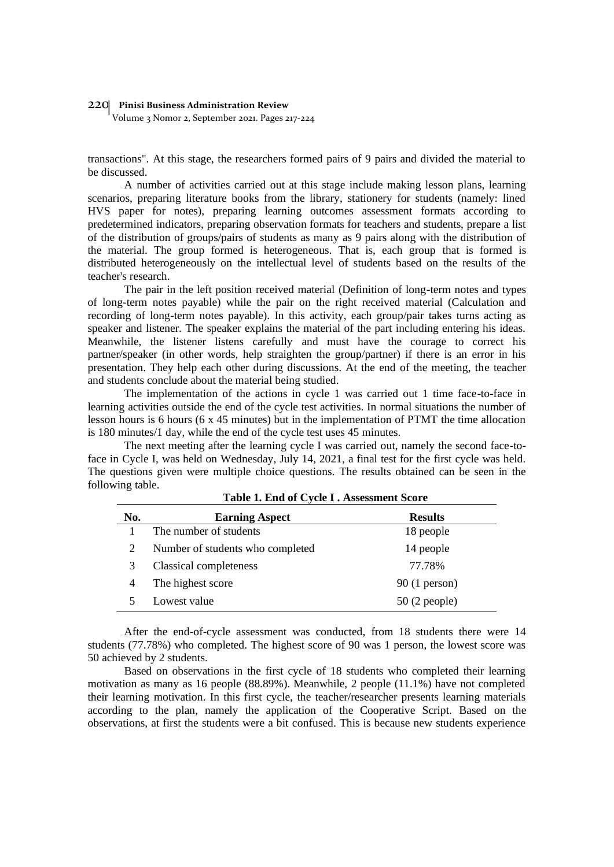Volume 3 Nomor 2, September 2021. Pages 217-224

transactions". At this stage, the researchers formed pairs of 9 pairs and divided the material to be discussed.

A number of activities carried out at this stage include making lesson plans, learning scenarios, preparing literature books from the library, stationery for students (namely: lined HVS paper for notes), preparing learning outcomes assessment formats according to predetermined indicators, preparing observation formats for teachers and students, prepare a list of the distribution of groups/pairs of students as many as 9 pairs along with the distribution of the material. The group formed is heterogeneous. That is, each group that is formed is distributed heterogeneously on the intellectual level of students based on the results of the teacher's research.

The pair in the left position received material (Definition of long-term notes and types of long-term notes payable) while the pair on the right received material (Calculation and recording of long-term notes payable). In this activity, each group/pair takes turns acting as speaker and listener. The speaker explains the material of the part including entering his ideas. Meanwhile, the listener listens carefully and must have the courage to correct his partner/speaker (in other words, help straighten the group/partner) if there is an error in his presentation. They help each other during discussions. At the end of the meeting, the teacher and students conclude about the material being studied.

The implementation of the actions in cycle 1 was carried out 1 time face-to-face in learning activities outside the end of the cycle test activities. In normal situations the number of lesson hours is 6 hours (6 x 45 minutes) but in the implementation of PTMT the time allocation is 180 minutes/1 day, while the end of the cycle test uses 45 minutes.

The next meeting after the learning cycle I was carried out, namely the second face-toface in Cycle I, was held on Wednesday, July 14, 2021, a final test for the first cycle was held. The questions given were multiple choice questions. The results obtained can be seen in the following table.

| No. | <b>Earning Aspect</b>            | <b>Results</b> |
|-----|----------------------------------|----------------|
|     | The number of students           | 18 people      |
|     | Number of students who completed | 14 people      |
|     | Classical completeness           | 77.78%         |
|     | The highest score                | $90(1$ person) |
|     | Lowest value                     | $50(2$ people) |

| Table 1. End of Cycle I. Assessment Score |
|-------------------------------------------|
|-------------------------------------------|

After the end-of-cycle assessment was conducted, from 18 students there were 14 students (77.78%) who completed. The highest score of 90 was 1 person, the lowest score was 50 achieved by 2 students.

Based on observations in the first cycle of 18 students who completed their learning motivation as many as 16 people (88.89%). Meanwhile, 2 people (11.1%) have not completed their learning motivation. In this first cycle, the teacher/researcher presents learning materials according to the plan, namely the application of the Cooperative Script. Based on the observations, at first the students were a bit confused. This is because new students experience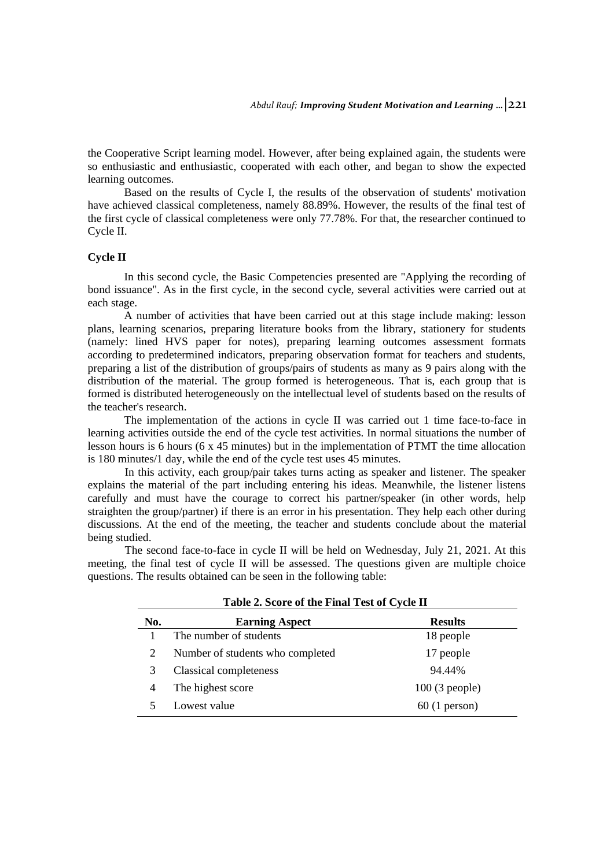the Cooperative Script learning model. However, after being explained again, the students were so enthusiastic and enthusiastic, cooperated with each other, and began to show the expected learning outcomes.

Based on the results of Cycle I, the results of the observation of students' motivation have achieved classical completeness, namely 88.89%. However, the results of the final test of the first cycle of classical completeness were only 77.78%. For that, the researcher continued to Cycle II.

#### **Cycle II**

In this second cycle, the Basic Competencies presented are "Applying the recording of bond issuance". As in the first cycle, in the second cycle, several activities were carried out at each stage.

A number of activities that have been carried out at this stage include making: lesson plans, learning scenarios, preparing literature books from the library, stationery for students (namely: lined HVS paper for notes), preparing learning outcomes assessment formats according to predetermined indicators, preparing observation format for teachers and students, preparing a list of the distribution of groups/pairs of students as many as 9 pairs along with the distribution of the material. The group formed is heterogeneous. That is, each group that is formed is distributed heterogeneously on the intellectual level of students based on the results of the teacher's research.

The implementation of the actions in cycle II was carried out 1 time face-to-face in learning activities outside the end of the cycle test activities. In normal situations the number of lesson hours is 6 hours (6 x 45 minutes) but in the implementation of PTMT the time allocation is 180 minutes/1 day, while the end of the cycle test uses 45 minutes.

In this activity, each group/pair takes turns acting as speaker and listener. The speaker explains the material of the part including entering his ideas. Meanwhile, the listener listens carefully and must have the courage to correct his partner/speaker (in other words, help straighten the group/partner) if there is an error in his presentation. They help each other during discussions. At the end of the meeting, the teacher and students conclude about the material being studied.

The second face-to-face in cycle II will be held on Wednesday, July 21, 2021. At this meeting, the final test of cycle II will be assessed. The questions given are multiple choice questions. The results obtained can be seen in the following table:

| Table 2. Score of the Final Test of Cycle II |                                  |                 |  |
|----------------------------------------------|----------------------------------|-----------------|--|
| No.                                          | <b>Earning Aspect</b>            | <b>Results</b>  |  |
|                                              | The number of students           | 18 people       |  |
| 2                                            | Number of students who completed | 17 people       |  |
| 3                                            | Classical completeness           | 94.44%          |  |
| 4                                            | The highest score                | $100(3$ people) |  |
|                                              | Lowest value                     | $60(1$ person)  |  |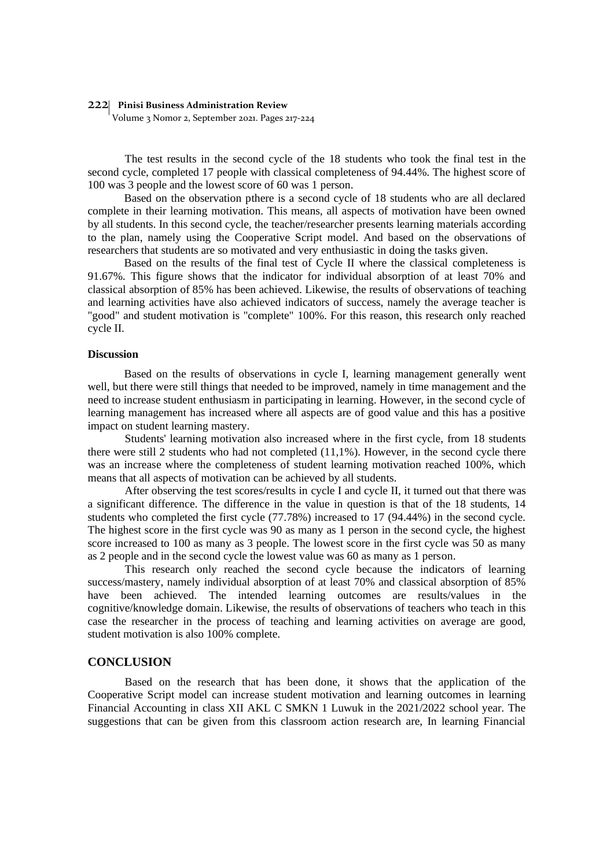Volume 3 Nomor 2, September 2021. Pages 217-224

The test results in the second cycle of the 18 students who took the final test in the second cycle, completed 17 people with classical completeness of 94.44%. The highest score of 100 was 3 people and the lowest score of 60 was 1 person.

Based on the observation pthere is a second cycle of 18 students who are all declared complete in their learning motivation. This means, all aspects of motivation have been owned by all students. In this second cycle, the teacher/researcher presents learning materials according to the plan, namely using the Cooperative Script model. And based on the observations of researchers that students are so motivated and very enthusiastic in doing the tasks given.

Based on the results of the final test of Cycle II where the classical completeness is 91.67%. This figure shows that the indicator for individual absorption of at least 70% and classical absorption of 85% has been achieved. Likewise, the results of observations of teaching and learning activities have also achieved indicators of success, namely the average teacher is "good" and student motivation is "complete" 100%. For this reason, this research only reached cycle II.

#### **Discussion**

Based on the results of observations in cycle I, learning management generally went well, but there were still things that needed to be improved, namely in time management and the need to increase student enthusiasm in participating in learning. However, in the second cycle of learning management has increased where all aspects are of good value and this has a positive impact on student learning mastery.

Students' learning motivation also increased where in the first cycle, from 18 students there were still 2 students who had not completed (11,1%). However, in the second cycle there was an increase where the completeness of student learning motivation reached 100%, which means that all aspects of motivation can be achieved by all students.

After observing the test scores/results in cycle I and cycle II, it turned out that there was a significant difference. The difference in the value in question is that of the 18 students, 14 students who completed the first cycle (77.78%) increased to 17 (94.44%) in the second cycle. The highest score in the first cycle was 90 as many as 1 person in the second cycle, the highest score increased to 100 as many as 3 people. The lowest score in the first cycle was 50 as many as 2 people and in the second cycle the lowest value was 60 as many as 1 person.

This research only reached the second cycle because the indicators of learning success/mastery, namely individual absorption of at least 70% and classical absorption of 85% have been achieved. The intended learning outcomes are results/values in the cognitive/knowledge domain. Likewise, the results of observations of teachers who teach in this case the researcher in the process of teaching and learning activities on average are good, student motivation is also 100% complete.

#### **CONCLUSION**

Based on the research that has been done, it shows that the application of the Cooperative Script model can increase student motivation and learning outcomes in learning Financial Accounting in class XII AKL C SMKN 1 Luwuk in the 2021/2022 school year. The suggestions that can be given from this classroom action research are, In learning Financial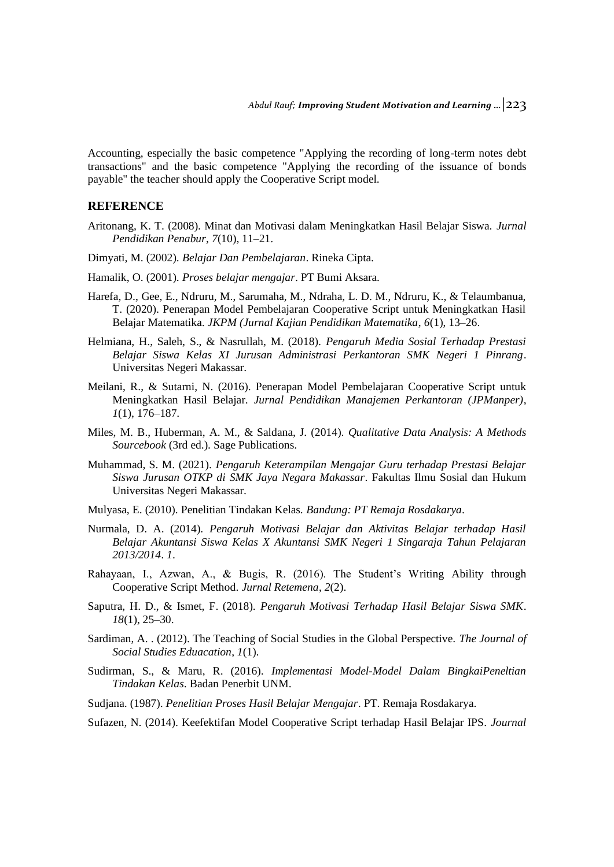Accounting, especially the basic competence "Applying the recording of long-term notes debt transactions" and the basic competence "Applying the recording of the issuance of bonds payable" the teacher should apply the Cooperative Script model.

#### **REFERENCE**

- Aritonang, K. T. (2008). Minat dan Motivasi dalam Meningkatkan Hasil Belajar Siswa. *Jurnal Pendidikan Penabur*, *7*(10), 11–21.
- Dimyati, M. (2002). *Belajar Dan Pembelajaran*. Rineka Cipta.
- Hamalik, O. (2001). *Proses belajar mengajar*. PT Bumi Aksara.
- Harefa, D., Gee, E., Ndruru, M., Sarumaha, M., Ndraha, L. D. M., Ndruru, K., & Telaumbanua, T. (2020). Penerapan Model Pembelajaran Cooperative Script untuk Meningkatkan Hasil Belajar Matematika. *JKPM (Jurnal Kajian Pendidikan Matematika*, *6*(1), 13–26.
- Helmiana, H., Saleh, S., & Nasrullah, M. (2018). *Pengaruh Media Sosial Terhadap Prestasi Belajar Siswa Kelas XI Jurusan Administrasi Perkantoran SMK Negeri 1 Pinrang*. Universitas Negeri Makassar.
- Meilani, R., & Sutarni, N. (2016). Penerapan Model Pembelajaran Cooperative Script untuk Meningkatkan Hasil Belajar. *Jurnal Pendidikan Manajemen Perkantoran (JPManper)*, *1*(1), 176–187.
- Miles, M. B., Huberman, A. M., & Saldana, J. (2014). *Qualitative Data Analysis: A Methods Sourcebook* (3rd ed.). Sage Publications.
- Muhammad, S. M. (2021). *Pengaruh Keterampilan Mengajar Guru terhadap Prestasi Belajar Siswa Jurusan OTKP di SMK Jaya Negara Makassar*. Fakultas Ilmu Sosial dan Hukum Universitas Negeri Makassar.
- Mulyasa, E. (2010). Penelitian Tindakan Kelas. *Bandung: PT Remaja Rosdakarya*.
- Nurmala, D. A. (2014). *Pengaruh Motivasi Belajar dan Aktivitas Belajar terhadap Hasil Belajar Akuntansi Siswa Kelas X Akuntansi SMK Negeri 1 Singaraja Tahun Pelajaran 2013/2014*. *1*.
- Rahayaan, I., Azwan, A., & Bugis, R. (2016). The Student's Writing Ability through Cooperative Script Method. *Jurnal Retemena*, *2*(2).
- Saputra, H. D., & Ismet, F. (2018). *Pengaruh Motivasi Terhadap Hasil Belajar Siswa SMK*. *18*(1), 25–30.
- Sardiman, A. . (2012). The Teaching of Social Studies in the Global Perspective. *The Journal of Social Studies Eduacation*, *1*(1).
- Sudirman, S., & Maru, R. (2016). *Implementasi Model-Model Dalam BingkaiPeneltian Tindakan Kelas*. Badan Penerbit UNM.
- Sudjana. (1987). *Penelitian Proses Hasil Belajar Mengajar*. PT. Remaja Rosdakarya.
- Sufazen, N. (2014). Keefektifan Model Cooperative Script terhadap Hasil Belajar IPS. *Journal*